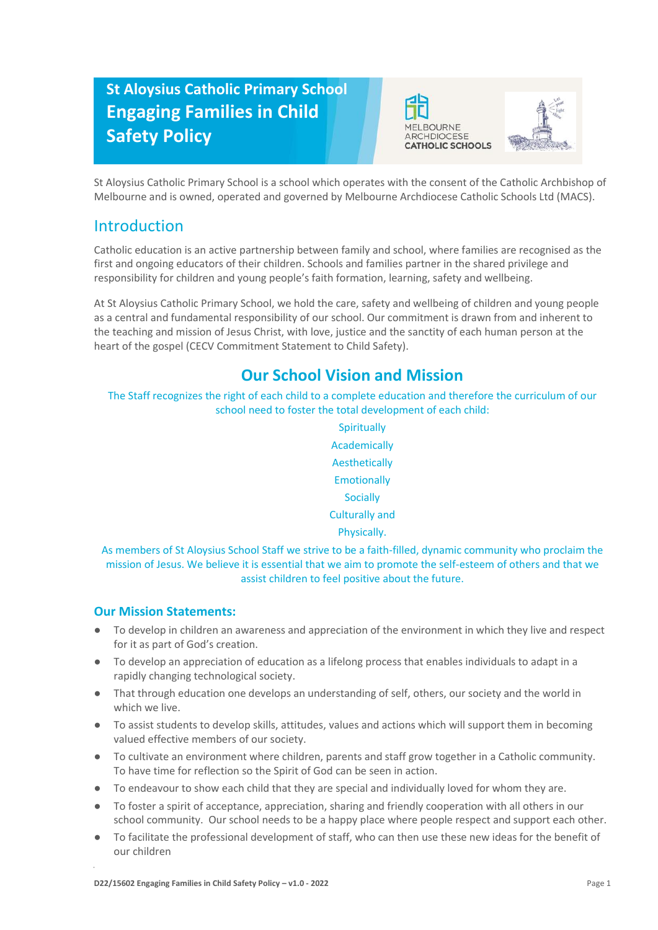# **St Aloysius Catholic Primary School Engaging Families in Child Safety Policy**





St Aloysius Catholic Primary School is a school which operates with the consent of the Catholic Archbishop of Melbourne and is owned, operated and governed by Melbourne Archdiocese Catholic Schools Ltd (MACS).

## Introduction

Catholic education is an active partnership between family and school, where families are recognised as the first and ongoing educators of their children. Schools and families partner in the shared privilege and responsibility for children and young people's faith formation, learning, safety and wellbeing.

At St Aloysius Catholic Primary School, we hold the care, safety and wellbeing of children and young people as a central and fundamental responsibility of our school. Our commitment is drawn from and inherent to the teaching and mission of Jesus Christ, with love, justice and the sanctity of each human person at the heart of the gospel (CECV Commitment Statement to Child Safety).

# **Our School Vision and Mission**

The Staff recognizes the right of each child to a complete education and therefore the curriculum of our school need to foster the total development of each child:

> **Spiritually** Academically Aesthetically **Emotionally Socially** Culturally and Physically.

As members of St Aloysius School Staff we strive to be a faith-filled, dynamic community who proclaim the mission of Jesus. We believe it is essential that we aim to promote the self-esteem of others and that we assist children to feel positive about the future.

### **Our Mission Statements:**

- To develop in children an awareness and appreciation of the environment in which they live and respect for it as part of God's creation.
- To develop an appreciation of education as a lifelong process that enables individuals to adapt in a rapidly changing technological society.
- That through education one develops an understanding of self, others, our society and the world in which we live.
- To assist students to develop skills, attitudes, values and actions which will support them in becoming valued effective members of our society.
- To cultivate an environment where children, parents and staff grow together in a Catholic community. To have time for reflection so the Spirit of God can be seen in action.
- To endeavour to show each child that they are special and individually loved for whom they are.
- To foster a spirit of acceptance, appreciation, sharing and friendly cooperation with all others in our school community. Our school needs to be a happy place where people respect and support each other.
- To facilitate the professional development of staff, who can then use these new ideas for the benefit of our children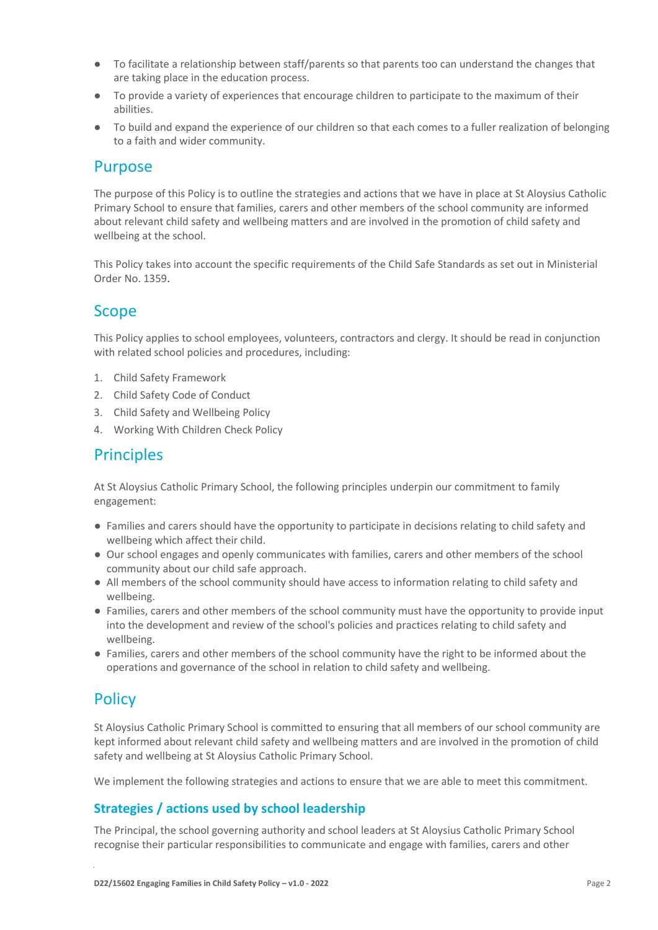- To facilitate a relationship between staff/parents so that parents too can understand the changes that are taking place in the education process.
- To provide a variety of experiences that encourage children to participate to the maximum of their abilities.
- To build and expand the experience of our children so that each comes to a fuller realization of belonging to a faith and wider community.

#### Purpose

The purpose of this Policy is to outline the strategies and actions that we have in place at St Aloysius Catholic Primary School to ensure that families, carers and other members of the school community are informed about relevant child safety and wellbeing matters and are involved in the promotion of child safety and wellbeing at the school.

This Policy takes into account the specific requirements of the Child Safe Standards as set out in Ministerial Order No. 1359.

### Scope

This Policy applies to school employees, volunteers, contractors and clergy. It should be read in conjunction with related school policies and procedures, including:

- 1. Child Safety Framework
- 2. Child Safety Code of Conduct
- 3. Child Safety and Wellbeing Policy
- 4. Working With Children Check Policy

### **Principles**

At St Aloysius Catholic Primary School, the following principles underpin our commitment to family engagement:

- Families and carers should have the opportunity to participate in decisions relating to child safety and wellbeing which affect their child.
- Our school engages and openly communicates with families, carers and other members of the school community about our child safe approach.
- All members of the school community should have access to information relating to child safety and wellbeing.
- Families, carers and other members of the school community must have the opportunity to provide input into the development and review of the school's policies and practices relating to child safety and wellbeing.
- Families, carers and other members of the school community have the right to be informed about the operations and governance of the school in relation to child safety and wellbeing.

### **Policy**

St Aloysius Catholic Primary School is committed to ensuring that all members of our school community are kept informed about relevant child safety and wellbeing matters and are involved in the promotion of child safety and wellbeing at St Aloysius Catholic Primary School.

We implement the following strategies and actions to ensure that we are able to meet this commitment.

#### **Strategies / actions used by school leadership**

The Principal, the school governing authority and school leaders at St Aloysius Catholic Primary School recognise their particular responsibilities to communicate and engage with families, carers and other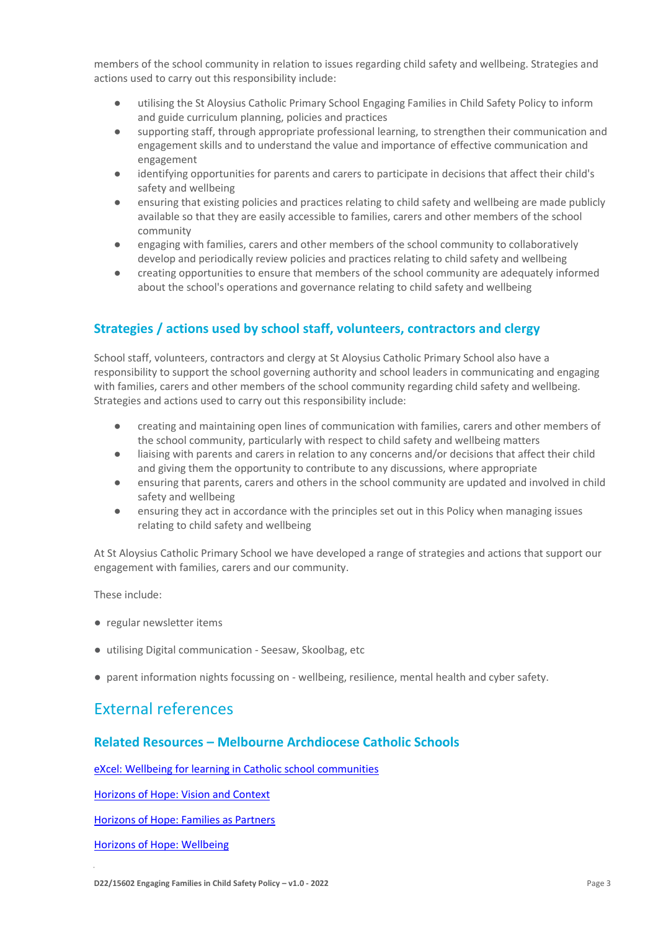members of the school community in relation to issues regarding child safety and wellbeing. Strategies and actions used to carry out this responsibility include:

- utilising the St Aloysius Catholic Primary School Engaging Families in Child Safety Policy to inform and guide curriculum planning, policies and practices
- supporting staff, through appropriate professional learning, to strengthen their communication and engagement skills and to understand the value and importance of effective communication and engagement
- identifying opportunities for parents and carers to participate in decisions that affect their child's safety and wellbeing
- ensuring that existing policies and practices relating to child safety and wellbeing are made publicly available so that they are easily accessible to families, carers and other members of the school community
- engaging with families, carers and other members of the school community to collaboratively develop and periodically review policies and practices relating to child safety and wellbeing
- creating opportunities to ensure that members of the school community are adequately informed about the school's operations and governance relating to child safety and wellbeing

#### **Strategies / actions used by school staff, volunteers, contractors and clergy**

School staff, volunteers, contractors and clergy at St Aloysius Catholic Primary School also have a responsibility to support the school governing authority and school leaders in communicating and engaging with families, carers and other members of the school community regarding child safety and wellbeing. Strategies and actions used to carry out this responsibility include:

- creating and maintaining open lines of communication with families, carers and other members of the school community, particularly with respect to child safety and wellbeing matters
- liaising with parents and carers in relation to any concerns and/or decisions that affect their child and giving them the opportunity to contribute to any discussions, where appropriate
- ensuring that parents, carers and others in the school community are updated and involved in child safety and wellbeing
- ensuring they act in accordance with the principles set out in this Policy when managing issues relating to child safety and wellbeing

At St Aloysius Catholic Primary School we have developed a range of strategies and actions that support our engagement with families, carers and our community.

These include:

- regular newsletter items
- utilising Digital communication Seesaw, Skoolbag, etc
- parent information nights focussing on wellbeing, resilience, mental health and cyber safety.

### External references)

#### **Related Resources – Melbourne Archdiocese Catholic Schools**

[eXcel: Wellbeing for learning in Catholic school communities](https://www.cem.edu.au/Our-Schools/Curriculum-Learning-Programs/Student-Wellbeing/eXcel.aspx)

[Horizons of Hope: Vision and Context](https://www.macs.vic.edu.au/Our-Schools/Curriculum-Learning-Programs/Horizons-of-Hope/Vision-Context.aspx)

[Horizons of Hope: Families as Partners](https://www.macs.vic.edu.au/Our-Schools/Curriculum-Learning-Programs/Horizons-of-Hope/Families-as-partners.aspx)

[Horizons of Hope: Wellbeing](https://www.macs.vic.edu.au/Our-Schools/Curriculum-Learning-Programs/Horizons-of-Hope/Wellbeing.aspx)